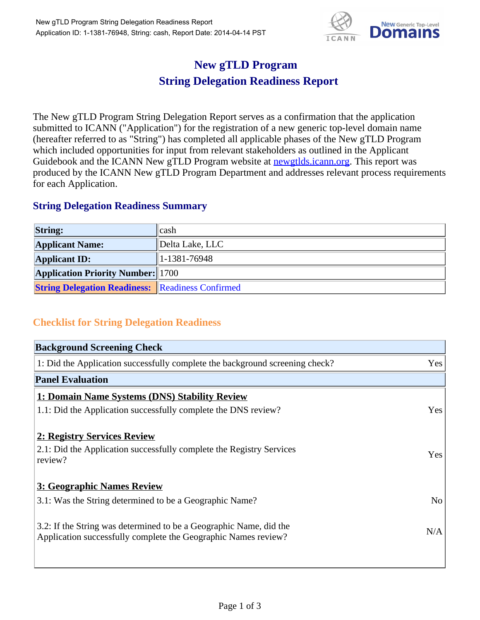

## **New gTLD Program String Delegation Readiness Report**

The New gTLD Program String Delegation Report serves as a confirmation that the application submitted to ICANN ("Application") for the registration of a new generic top-level domain name (hereafter referred to as "String") has completed all applicable phases of the New gTLD Program which included opportunities for input from relevant stakeholders as outlined in the Applicant Guidebook and the ICANN New gTLD Program website at newgtlds.icann.org. This report was produced by the ICANN New gTLD Program Department and addresses relevant process requirements for each Application.

## **String Delegation Readiness Summary**

| <b>String:</b>                                          | cash             |
|---------------------------------------------------------|------------------|
| <b>Applicant Name:</b>                                  | Delta Lake, LLC  |
| <b>Applicant ID:</b>                                    | $ 1-1381-76948 $ |
| <b>Application Priority Number: 1700</b>                |                  |
| <b>String Delegation Readiness: Readiness Confirmed</b> |                  |

## **Checklist for String Delegation Readiness**

| <b>Background Screening Check</b>                                                                                                    |                |
|--------------------------------------------------------------------------------------------------------------------------------------|----------------|
| 1: Did the Application successfully complete the background screening check?                                                         | Yes            |
| <b>Panel Evaluation</b>                                                                                                              |                |
| 1: Domain Name Systems (DNS) Stability Review                                                                                        |                |
| 1.1: Did the Application successfully complete the DNS review?                                                                       | Yes            |
| 2: Registry Services Review<br>2.1: Did the Application successfully complete the Registry Services<br>review?                       | Yes            |
| 3: Geographic Names Review                                                                                                           |                |
| 3.1: Was the String determined to be a Geographic Name?                                                                              | N <sub>o</sub> |
| 3.2: If the String was determined to be a Geographic Name, did the<br>Application successfully complete the Geographic Names review? | N/A            |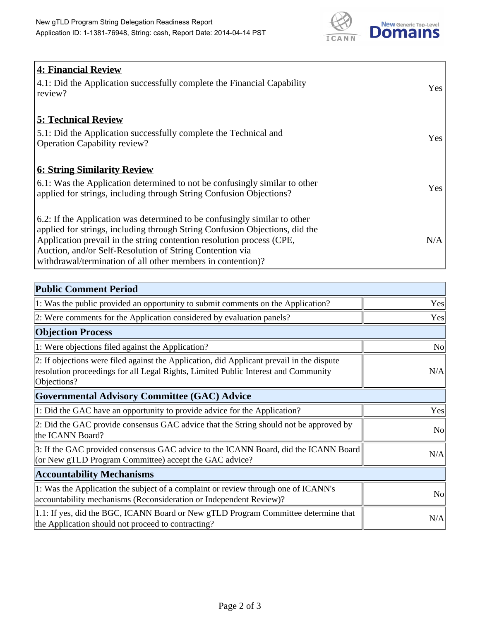

| 4: Financial Review                                                                |            |
|------------------------------------------------------------------------------------|------------|
| $\vert$ 4.1: Did the Application successfully complete the Financial Capability    | Yes        |
| review?                                                                            |            |
| <b>5: Technical Review</b>                                                         |            |
| 5.1: Did the Application successfully complete the Technical and                   | <b>Yes</b> |
| <b>Operation Capability review?</b>                                                |            |
|                                                                                    |            |
| <b>6: String Similarity Review</b>                                                 |            |
| $\vert$ 6.1: Was the Application determined to not be confusingly similar to other | Yes        |
| applied for strings, including through String Confusion Objections?                |            |
| 6.2: If the Application was determined to be confusingly similar to other          |            |
| applied for strings, including through String Confusion Objections, did the        |            |
| Application prevail in the string contention resolution process (CPE,              | N/A        |
| Auction, and/or Self-Resolution of String Contention via                           |            |
| withdrawal/termination of all other members in contention)?                        |            |

| <b>Public Comment Period</b>                                                                                                                                                                   |                |
|------------------------------------------------------------------------------------------------------------------------------------------------------------------------------------------------|----------------|
| 1: Was the public provided an opportunity to submit comments on the Application?                                                                                                               | Yes            |
| 2: Were comments for the Application considered by evaluation panels?                                                                                                                          | Yes            |
| <b>Objection Process</b>                                                                                                                                                                       |                |
| 1: Were objections filed against the Application?                                                                                                                                              | <b>No</b>      |
| 2: If objections were filed against the Application, did Applicant prevail in the dispute<br>resolution proceedings for all Legal Rights, Limited Public Interest and Community<br>Objections? | N/A            |
| Governmental Advisory Committee (GAC) Advice                                                                                                                                                   |                |
| 1: Did the GAC have an opportunity to provide advice for the Application?                                                                                                                      | Yes            |
| 2: Did the GAC provide consensus GAC advice that the String should not be approved by<br>the ICANN Board?                                                                                      | <b>No</b>      |
| 3: If the GAC provided consensus GAC advice to the ICANN Board, did the ICANN Board<br>(or New gTLD Program Committee) accept the GAC advice?                                                  | N/A            |
| <b>Accountability Mechanisms</b>                                                                                                                                                               |                |
| 1: Was the Application the subject of a complaint or review through one of ICANN's<br>accountability mechanisms (Reconsideration or Independent Review)?                                       | N <sub>0</sub> |
| 1.1: If yes, did the BGC, ICANN Board or New gTLD Program Committee determine that<br>the Application should not proceed to contracting?                                                       | N/A            |